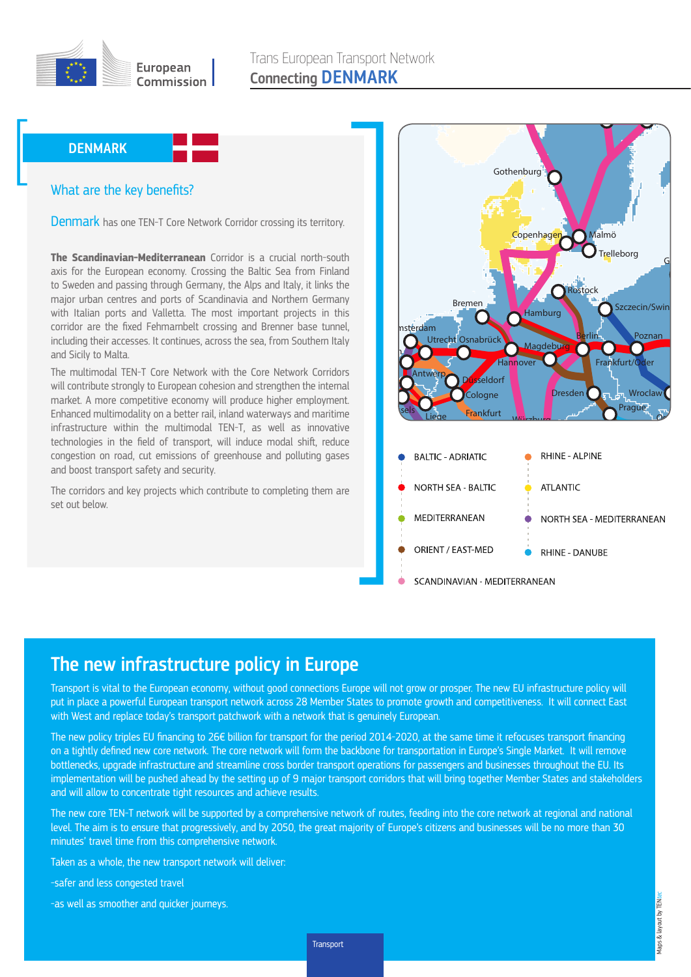

## What are the key benefits? **DENMARK**<br>What are the l

Denmark has one TEN-T Core Network Corridor crossing its territory.

with Italian ports and Valletta. The most important projects in this Manchester major urban centres and ports of Scandinavia and Northern Germany  $\frac{1}{2}$  including their accesses. It continues, across the sea, from Southern Italy to Sweden and passing through Germany, the Alps and Italy, it links the **The Scandinavian-Mediterranean** Corridor is a crucial north-south axis for the European economy. Crossing the Baltic Sea from Finland corridor are the fixed Fehmarnbelt crossing and Brenner base tunnel, and Sicily to Malta.

market. A more competitive economy will produce higher employment. will contribute strongly to European cohesion and strengthen the internal Enhanced multimodality on a better rail, inland waterways and maritime The multimodal TEN-T Core Network with the Core Network Corridors infrastructure within the multimodal TEN-T, as well as innovative technologies in the field of transport, will induce modal shift, reduce congestion on road, cut emissions of greenhouse and polluting gases and boost transport safety and security.

The corridors and key projects which contribute to completing them are set out below.



Oslo

La Spezia

## Zaragoza Valladolid The new infrastructure policy in Europe

put in place a powerful European transport network across 28 Member States to promote growth and competitiveness. It will connect East with West and replace today's transport patchwork with a network that is genuinely European. Transport is vital to the European economy, without good connections Europe will not grow or prosper. The new EU infrastructure policy will

and will allow to concentrate tight resources and achieve results. The new policy triples EU financing to 26€ billion for transport for the period 2014-2020, at the same time it refocuses transport financing  $\blacksquare$ implementation will be pushed ahead by the setting up of 9 major transport corridors that will bring together Member States and stakeholders Valencia bottlenecks, upgrade infrastructure and streamline cross border transport operations for passengers and businesses throughout the EU. Its Gioia Tauro on a tightly defined new core network. The core network will form the backbone for transportation in Europe's Single Market. It will remove

level. The aim is to ensure that progressively, and by 2050, the great majority of Europe's citizens and businesses will be no more than 30 The new core TEN-T network will be supported by a comprehensive network of routes, feeding into the core network at regional and national minutes' travel time from this comprehensive network.

Taken as a whole, the new transport network will deliver:

-safer and less congested travel

Sines

Lisbon

Aveiro Porto

-as well as smoother and quicker journeys.

Transport Transport